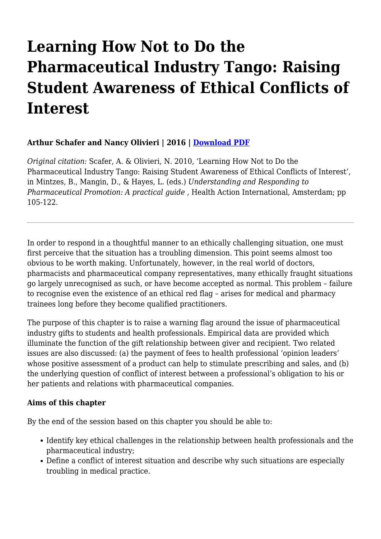# **Learning How Not to Do the Pharmaceutical Industry Tango: Raising Student Awareness of Ethical Conflicts of Interest**

## **Arthur Schafer and Nancy Olivieri | 2016 | [Download PDF](https://haiweb.org/wp-content/uploads/2019/12/Learning-how-not-to-do-the-pharmaceutical-industry-tango.pdf)**

*Original citation:* Scafer, A. & Olivieri, N. 2010, 'Learning How Not to Do the Pharmaceutical Industry Tango: Raising Student Awareness of Ethical Conflicts of Interest', in Mintzes, B., Mangin, D., & Hayes, L. (eds.) *Understanding and Responding to Pharmaceutical Promotion: A practical guide* , Health Action International, Amsterdam; pp 105-122.

In order to respond in a thoughtful manner to an ethically challenging situation, one must first perceive that the situation has a troubling dimension. This point seems almost too obvious to be worth making. Unfortunately, however, in the real world of doctors, pharmacists and pharmaceutical company representatives, many ethically fraught situations go largely unrecognised as such, or have become accepted as normal. This problem – failure to recognise even the existence of an ethical red flag – arises for medical and pharmacy trainees long before they become qualified practitioners.

The purpose of this chapter is to raise a warning flag around the issue of pharmaceutical industry gifts to students and health professionals. Empirical data are provided which illuminate the function of the gift relationship between giver and recipient. Two related issues are also discussed: (a) the payment of fees to health professional 'opinion leaders' whose positive assessment of a product can help to stimulate prescribing and sales, and (b) the underlying question of conflict of interest between a professional's obligation to his or her patients and relations with pharmaceutical companies.

#### **Aims of this chapter**

By the end of the session based on this chapter you should be able to:

- Identify key ethical challenges in the relationship between health professionals and the pharmaceutical industry;
- Define a conflict of interest situation and describe why such situations are especially troubling in medical practice.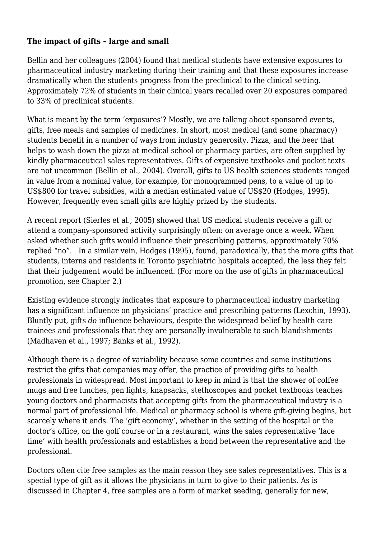#### **The impact of gifts – large and small**

Bellin and her colleagues (2004) found that medical students have extensive exposures to pharmaceutical industry marketing during their training and that these exposures increase dramatically when the students progress from the preclinical to the clinical setting. Approximately 72% of students in their clinical years recalled over 20 exposures compared to 33% of preclinical students.

What is meant by the term 'exposures'? Mostly, we are talking about sponsored events, gifts, free meals and samples of medicines. In short, most medical (and some pharmacy) students benefit in a number of ways from industry generosity. Pizza, and the beer that helps to wash down the pizza at medical school or pharmacy parties, are often supplied by kindly pharmaceutical sales representatives. Gifts of expensive textbooks and pocket texts are not uncommon (Bellin et al., 2004). Overall, gifts to US health sciences students ranged in value from a nominal value, for example, for monogrammed pens, to a value of up to US\$800 for travel subsidies, with a median estimated value of US\$20 (Hodges, 1995). However, frequently even small gifts are highly prized by the students.

A recent report (Sierles et al., 2005) showed that US medical students receive a gift or attend a company-sponsored activity surprisingly often: on average once a week. When asked whether such gifts would influence their prescribing patterns, approximately 70% replied "no". In a similar vein, Hodges (1995), found, paradoxically, that the more gifts that students, interns and residents in Toronto psychiatric hospitals accepted, the less they felt that their judgement would be influenced. (For more on the use of gifts in pharmaceutical promotion, see Chapter 2.)

Existing evidence strongly indicates that exposure to pharmaceutical industry marketing has a significant influence on physicians' practice and prescribing patterns (Lexchin, 1993). Bluntly put, gifts *do* influence behaviours, despite the widespread belief by health care trainees and professionals that they are personally invulnerable to such blandishments (Madhaven et al., 1997; Banks et al., 1992).

Although there is a degree of variability because some countries and some institutions restrict the gifts that companies may offer, the practice of providing gifts to health professionals in widespread. Most important to keep in mind is that the shower of coffee mugs and free lunches, pen lights, knapsacks, stethoscopes and pocket textbooks teaches young doctors and pharmacists that accepting gifts from the pharmaceutical industry is a normal part of professional life. Medical or pharmacy school is where gift-giving begins, but scarcely where it ends. The 'gift economy', whether in the setting of the hospital or the doctor's office, on the golf course or in a restaurant, wins the sales representative 'face time' with health professionals and establishes a bond between the representative and the professional.

Doctors often cite free samples as the main reason they see sales representatives. This is a special type of gift as it allows the physicians in turn to give to their patients. As is discussed in Chapter 4, free samples are a form of market seeding, generally for new,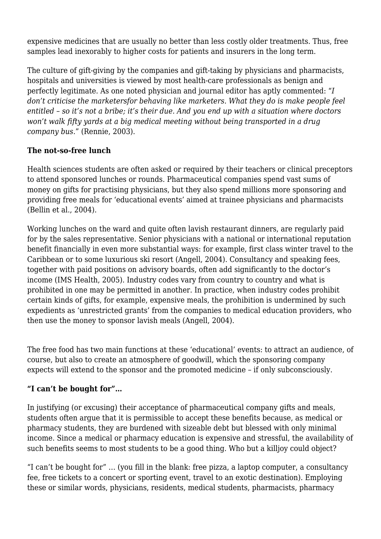expensive medicines that are usually no better than less costly older treatments. Thus, free samples lead inexorably to higher costs for patients and insurers in the long term.

The culture of gift-giving by the companies and gift-taking by physicians and pharmacists, hospitals and universities is viewed by most health-care professionals as benign and perfectly legitimate. As one noted physician and journal editor has aptly commented: "*I don't criticise the marketersfor behaving like marketers. What they do is make people feel entitled – so it's not a bribe; it's their due. And you end up with a situation where doctors won't walk fifty yards at a big medical meeting without being transported in a drug company bus.*" (Rennie, 2003).

## **The not-so-free lunch**

Health sciences students are often asked or required by their teachers or clinical preceptors to attend sponsored lunches or rounds. Pharmaceutical companies spend vast sums of money on gifts for practising physicians, but they also spend millions more sponsoring and providing free meals for 'educational events' aimed at trainee physicians and pharmacists (Bellin et al., 2004).

Working lunches on the ward and quite often lavish restaurant dinners, are regularly paid for by the sales representative. Senior physicians with a national or international reputation benefit financially in even more substantial ways: for example, first class winter travel to the Caribbean or to some luxurious ski resort (Angell, 2004). Consultancy and speaking fees, together with paid positions on advisory boards, often add significantly to the doctor's income (IMS Health, 2005). Industry codes vary from country to country and what is prohibited in one may be permitted in another. In practice, when industry codes prohibit certain kinds of gifts, for example, expensive meals, the prohibition is undermined by such expedients as 'unrestricted grants' from the companies to medical education providers, who then use the money to sponsor lavish meals (Angell, 2004).

The free food has two main functions at these 'educational' events: to attract an audience, of course, but also to create an atmosphere of goodwill, which the sponsoring company expects will extend to the sponsor and the promoted medicine – if only subconsciously.

## **"I can't be bought for"…**

In justifying (or excusing) their acceptance of pharmaceutical company gifts and meals, students often argue that it is permissible to accept these benefits because, as medical or pharmacy students, they are burdened with sizeable debt but blessed with only minimal income. Since a medical or pharmacy education is expensive and stressful, the availability of such benefits seems to most students to be a good thing. Who but a killjoy could object?

"I can't be bought for" … (you fill in the blank: free pizza, a laptop computer, a consultancy fee, free tickets to a concert or sporting event, travel to an exotic destination). Employing these or similar words, physicians, residents, medical students, pharmacists, pharmacy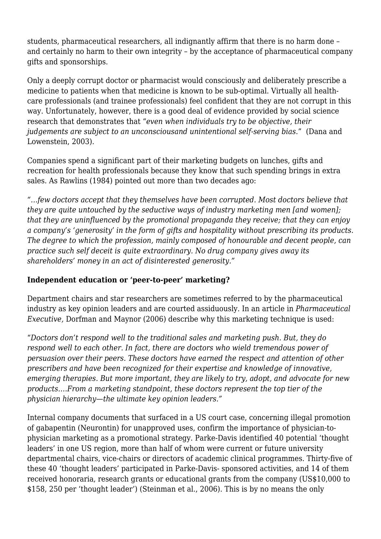students, pharmaceutical researchers, all indignantly affirm that there is no harm done – and certainly no harm to their own integrity – by the acceptance of pharmaceutical company gifts and sponsorships.

Only a deeply corrupt doctor or pharmacist would consciously and deliberately prescribe a medicine to patients when that medicine is known to be sub-optimal. Virtually all healthcare professionals (and trainee professionals) feel confident that they are not corrupt in this way. Unfortunately, however, there is a good deal of evidence provided by social science research that demonstrates that "*even when individuals try to be objective, their judgements are subject to an unconsciousand unintentional self-serving bias*." (Dana and Lowenstein, 2003).

Companies spend a significant part of their marketing budgets on lunches, gifts and recreation for health professionals because they know that such spending brings in extra sales. As Rawlins (1984) pointed out more than two decades ago:

*"…few doctors accept that they themselves have been corrupted. Most doctors believe that they are quite untouched by the seductive ways of industry marketing men [and women]; that they are uninfluenced by the promotional propaganda they receive; that they can enjoy a company's 'generosity' in the form of gifts and hospitality without prescribing its products. The degree to which the profession, mainly composed of honourable and decent people, can practice such self deceit is quite extraordinary. No drug company gives away its shareholders' money in an act of disinterested generosity."*

## **Independent education or 'peer-to-peer' marketing?**

Department chairs and star researchers are sometimes referred to by the pharmaceutical industry as key opinion leaders and are courted assiduously. In an article in *Pharmaceutical Executive,* Dorfman and Maynor (2006) describe why this marketing technique is used:

"*Doctors don't respond well to the traditional sales and marketing push. But, they do respond well to each other. In fact, there are doctors who wield tremendous power of persuasion over their peers. These doctors have earned the respect and attention of other prescribers and have been recognized for their expertise and knowledge of innovative, emerging therapies. But more important, they are likely to try, adopt, and advocate for new products.…From a marketing standpoint, these doctors represent the top tier of the physician hierarchy—the ultimate key opinion leaders."*

Internal company documents that surfaced in a US court case, concerning illegal promotion of gabapentin (Neurontin) for unapproved uses, confirm the importance of physician-tophysician marketing as a promotional strategy. Parke-Davis identified 40 potential 'thought leaders' in one US region, more than half of whom were current or future university departmental chairs, vice-chairs or directors of academic clinical programmes. Thirty-five of these 40 'thought leaders' participated in Parke-Davis- sponsored activities, and 14 of them received honoraria, research grants or educational grants from the company (US\$10,000 to \$158, 250 per 'thought leader') (Steinman et al., 2006). This is by no means the only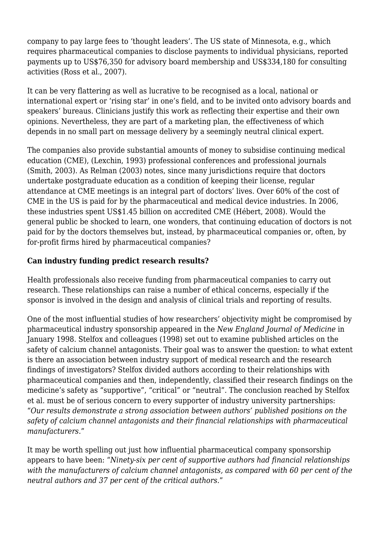company to pay large fees to 'thought leaders'. The US state of Minnesota, e.g., which requires pharmaceutical companies to disclose payments to individual physicians, reported payments up to US\$76,350 for advisory board membership and US\$334,180 for consulting activities (Ross et al., 2007).

It can be very flattering as well as lucrative to be recognised as a local, national or international expert or 'rising star' in one's field, and to be invited onto advisory boards and speakers' bureaus. Clinicians justify this work as reflecting their expertise and their own opinions. Nevertheless, they are part of a marketing plan, the effectiveness of which depends in no small part on message delivery by a seemingly neutral clinical expert.

The companies also provide substantial amounts of money to subsidise continuing medical education (CME), (Lexchin, 1993) professional conferences and professional journals (Smith, 2003). As Relman (2003) notes, since many jurisdictions require that doctors undertake postgraduate education as a condition of keeping their license, regular attendance at CME meetings is an integral part of doctors' lives. Over 60% of the cost of CME in the US is paid for by the pharmaceutical and medical device industries. In 2006, these industries spent US\$1.45 billion on accredited CME (Hébert, 2008). Would the general public be shocked to learn, one wonders, that continuing education of doctors is not paid for by the doctors themselves but, instead, by pharmaceutical companies or, often, by for-profit firms hired by pharmaceutical companies?

## **Can industry funding predict research results?**

Health professionals also receive funding from pharmaceutical companies to carry out research. These relationships can raise a number of ethical concerns, especially if the sponsor is involved in the design and analysis of clinical trials and reporting of results.

One of the most influential studies of how researchers' objectivity might be compromised by pharmaceutical industry sponsorship appeared in the *New England Journal of Medicine* in January 1998. Stelfox and colleagues (1998) set out to examine published articles on the safety of calcium channel antagonists. Their goal was to answer the question: to what extent is there an association between industry support of medical research and the research findings of investigators? Stelfox divided authors according to their relationships with pharmaceutical companies and then, independently, classified their research findings on the medicine's safety as "supportive", "critical" or "neutral". The conclusion reached by Stelfox et al. must be of serious concern to every supporter of industry university partnerships: "*Our results demonstrate a strong association between authors' published positions on the safety of calcium channel antagonists and their financial relationships with pharmaceutical manufacturers.*"

It may be worth spelling out just how influential pharmaceutical company sponsorship appears to have been: "*Ninety-six per cent of supportive authors had financial relationships with the manufacturers of calcium channel antagonists, as compared with 60 per cent of the neutral authors and 37 per cent of the critical authors.*"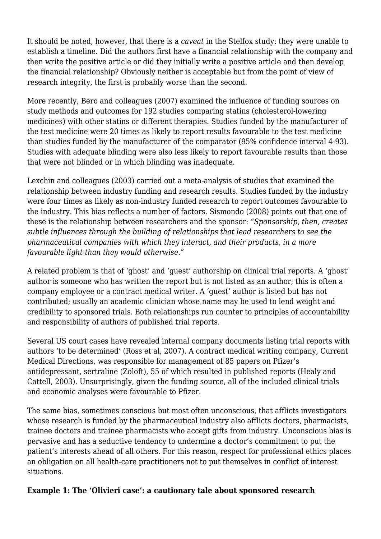It should be noted, however, that there is a *caveat* in the Stelfox study: they were unable to establish a timeline. Did the authors first have a financial relationship with the company and then write the positive article or did they initially write a positive article and then develop the financial relationship? Obviously neither is acceptable but from the point of view of research integrity, the first is probably worse than the second.

More recently, Bero and colleagues (2007) examined the influence of funding sources on study methods and outcomes for 192 studies comparing statins (cholesterol-lowering medicines) with other statins or different therapies. Studies funded by the manufacturer of the test medicine were 20 times as likely to report results favourable to the test medicine than studies funded by the manufacturer of the comparator (95% confidence interval 4-93). Studies with adequate blinding were also less likely to report favourable results than those that were not blinded or in which blinding was inadequate.

Lexchin and colleagues (2003) carried out a meta-analysis of studies that examined the relationship between industry funding and research results. Studies funded by the industry were four times as likely as non-industry funded research to report outcomes favourable to the industry. This bias reflects a number of factors. Sismondo (2008) points out that one of these is the relationship between researchers and the sponsor: *"Sponsorship, then, creates subtle influences through the building of relationships that lead researchers to see the pharmaceutical companies with which they interact, and their products, in a more favourable light than they would otherwise."*

A related problem is that of 'ghost' and 'guest' authorship on clinical trial reports. A 'ghost' author is someone who has written the report but is not listed as an author; this is often a company employee or a contract medical writer. A 'guest' author is listed but has not contributed; usually an academic clinician whose name may be used to lend weight and credibility to sponsored trials. Both relationships run counter to principles of accountability and responsibility of authors of published trial reports.

Several US court cases have revealed internal company documents listing trial reports with authors 'to be determined' (Ross et al, 2007). A contract medical writing company, Current Medical Directions, was responsible for management of 85 papers on Pfizer's antidepressant, sertraline (Zoloft), 55 of which resulted in published reports (Healy and Cattell, 2003). Unsurprisingly, given the funding source, all of the included clinical trials and economic analyses were favourable to Pfizer.

The same bias, sometimes conscious but most often unconscious, that afflicts investigators whose research is funded by the pharmaceutical industry also afflicts doctors, pharmacists, trainee doctors and trainee pharmacists who accept gifts from industry. Unconscious bias is pervasive and has a seductive tendency to undermine a doctor's commitment to put the patient's interests ahead of all others. For this reason, respect for professional ethics places an obligation on all health-care practitioners not to put themselves in conflict of interest situations.

#### **Example 1: The 'Olivieri case': a cautionary tale about sponsored research**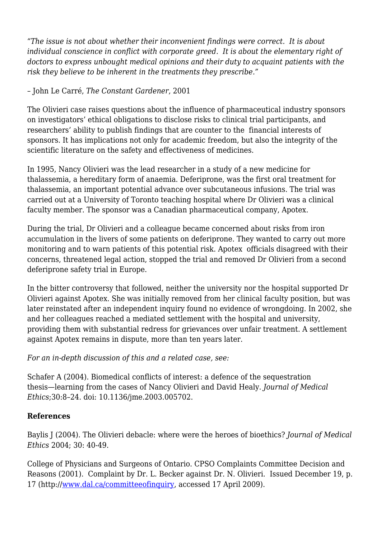*"The issue is not about whether their inconvenient findings were correct. It is about individual conscience in conflict with corporate greed. It is about the elementary right of doctors to express unbought medical opinions and their duty to acquaint patients with the risk they believe to be inherent in the treatments they prescribe."*

#### – John Le Carré, *The Constant Gardener*, 2001

The Olivieri case raises questions about the influence of pharmaceutical industry sponsors on investigators' ethical obligations to disclose risks to clinical trial participants, and researchers' ability to publish findings that are counter to the financial interests of sponsors. It has implications not only for academic freedom, but also the integrity of the scientific literature on the safety and effectiveness of medicines.

In 1995, Nancy Olivieri was the lead researcher in a study of a new medicine for thalassemia, a hereditary form of anaemia. Deferiprone, was the first oral treatment for thalassemia, an important potential advance over subcutaneous infusions. The trial was carried out at a University of Toronto teaching hospital where Dr Olivieri was a clinical faculty member. The sponsor was a Canadian pharmaceutical company, Apotex.

During the trial, Dr Olivieri and a colleague became concerned about risks from iron accumulation in the livers of some patients on deferiprone. They wanted to carry out more monitoring and to warn patients of this potential risk. Apotex officials disagreed with their concerns, threatened legal action, stopped the trial and removed Dr Olivieri from a second deferiprone safety trial in Europe.

In the bitter controversy that followed, neither the university nor the hospital supported Dr Olivieri against Apotex. She was initially removed from her clinical faculty position, but was later reinstated after an independent inquiry found no evidence of wrongdoing. In 2002, she and her colleagues reached a mediated settlement with the hospital and university, providing them with substantial redress for grievances over unfair treatment. A settlement against Apotex remains in dispute, more than ten years later.

*For an in-depth discussion of this and a related case, see:*

Schafer A (2004). Biomedical conflicts of interest: a defence of the sequestration thesis—learning from the cases of Nancy Olivieri and David Healy. *Journal of Medical Ethics*;30:8–24. doi: 10.1136/jme.2003.005702.

#### **References**

Baylis J (2004). The Olivieri debacle: where were the heroes of bioethics? *Journal of Medical Ethics* 2004; 30: 40-49.

College of Physicians and Surgeons of Ontario. CPSO Complaints Committee Decision and Reasons (2001). Complaint by Dr. L. Becker against Dr. N. Olivieri. Issued December 19, p. 17 (http:/[/www.dal.ca/committeeofinquiry](http://www.dal.ca/committeeofinquiry), accessed 17 April 2009).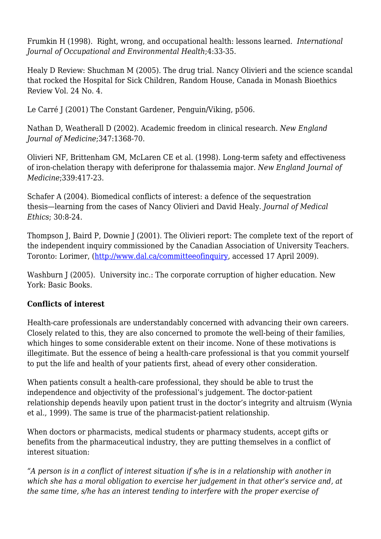Frumkin H (1998). Right, wrong, and occupational health: lessons learned. *International Journal of Occupational and Environmental Health*;4:33-35.

Healy D Review: Shuchman M (2005). The drug trial. Nancy Olivieri and the science scandal that rocked the Hospital for Sick Children, Random House, Canada in Monash Bioethics Review Vol. 24 No. 4.

Le Carré J (2001) The Constant Gardener, Penguin/Viking, p506.

Nathan D, Weatherall D (2002). Academic freedom in clinical research. *New England Journal of Medicine*;347:1368-70.

Olivieri NF, Brittenham GM, McLaren CE et al. (1998). Long-term safety and effectiveness of iron-chelation therapy with deferiprone for thalassemia major. *New England Journal of Medicine*;339:417-23.

Schafer A (2004). Biomedical conflicts of interest: a defence of the sequestration thesis—learning from the cases of Nancy Olivieri and David Healy. *Journal of Medical Ethics*; 30:8-24.

Thompson J, Baird P, Downie J (2001). The Olivieri report: The complete text of the report of the independent inquiry commissioned by the Canadian Association of University Teachers. Toronto: Lorimer, (<http://www.dal.ca/committeeofinquiry>, accessed 17 April 2009).

Washburn J (2005). University inc.: The corporate corruption of higher education. New York: Basic Books.

## **Conflicts of interest**

Health-care professionals are understandably concerned with advancing their own careers. Closely related to this, they are also concerned to promote the well-being of their families, which hinges to some considerable extent on their income. None of these motivations is illegitimate. But the essence of being a health-care professional is that you commit yourself to put the life and health of your patients first*,* ahead of every other consideration.

When patients consult a health-care professional, they should be able to trust the independence and objectivity of the professional's judgement. The doctor-patient relationship depends heavily upon patient trust in the doctor's integrity and altruism (Wynia et al., 1999). The same is true of the pharmacist-patient relationship.

When doctors or pharmacists, medical students or pharmacy students, accept gifts or benefits from the pharmaceutical industry, they are putting themselves in a conflict of interest situation:

*"A person is in a conflict of interest situation if s/he is in a relationship with another in which she has a moral obligation to exercise her judgement in that other's service and, at the same time, s/he has an interest tending to interfere with the proper exercise of*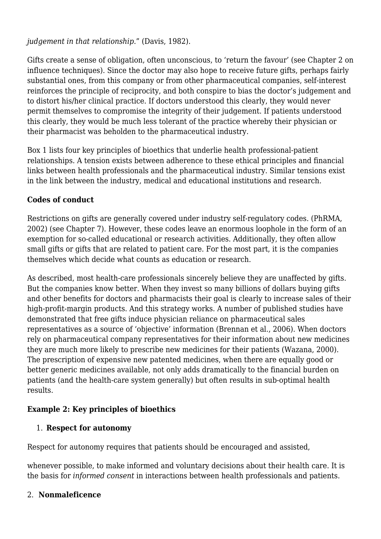*judgement in that relationship*." (Davis, 1982).

Gifts create a sense of obligation, often unconscious, to 'return the favour' (see Chapter 2 on influence techniques). Since the doctor may also hope to receive future gifts, perhaps fairly substantial ones, from this company or from other pharmaceutical companies, self-interest reinforces the principle of reciprocity, and both conspire to bias the doctor's judgement and to distort his/her clinical practice. If doctors understood this clearly, they would never permit themselves to compromise the integrity of their judgement. If patients understood this clearly, they would be much less tolerant of the practice whereby their physician or their pharmacist was beholden to the pharmaceutical industry.

Box 1 lists four key principles of bioethics that underlie health professional-patient relationships. A tension exists between adherence to these ethical principles and financial links between health professionals and the pharmaceutical industry. Similar tensions exist in the link between the industry, medical and educational institutions and research.

## **Codes of conduct**

Restrictions on gifts are generally covered under industry self-regulatory codes. (PhRMA, 2002) (see Chapter 7). However, these codes leave an enormous loophole in the form of an exemption for so-called educational or research activities. Additionally, they often allow small gifts or gifts that are related to patient care. For the most part, it is the companies themselves which decide what counts as education or research.

As described, most health-care professionals sincerely believe they are unaffected by gifts. But the companies know better. When they invest so many billions of dollars buying gifts and other benefits for doctors and pharmacists their goal is clearly to increase sales of their high-profit-margin products. And this strategy works. A number of published studies have demonstrated that free gifts induce physician reliance on pharmaceutical sales representatives as a source of 'objective' information (Brennan et al., 2006). When doctors rely on pharmaceutical company representatives for their information about new medicines they are much more likely to prescribe new medicines for their patients (Wazana, 2000). The prescription of expensive new patented medicines, when there are equally good or better generic medicines available, not only adds dramatically to the financial burden on patients (and the health-care system generally) but often results in sub-optimal health results.

## **Example 2: Key principles of bioethics**

## 1. **Respect for autonomy**

Respect for autonomy requires that patients should be encouraged and assisted,

whenever possible, to make informed and voluntary decisions about their health care. It is the basis for *informed consent* in interactions between health professionals and patients.

## 2. **Nonmaleficence**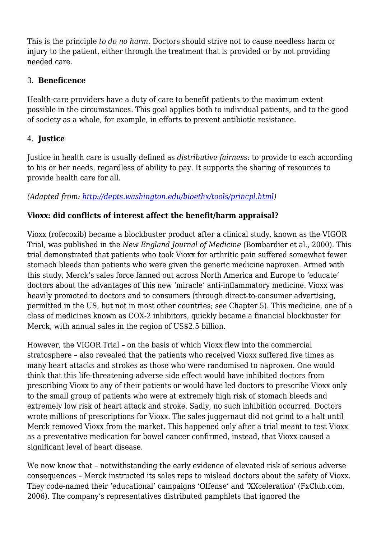This is the principle *to do no harm*. Doctors should strive not to cause needless harm or injury to the patient, either through the treatment that is provided or by not providing needed care.

## 3. **Beneficence**

Health-care providers have a duty of care to benefit patients to the maximum extent possible in the circumstances. This goal applies both to individual patients, and to the good of society as a whole, for example, in efforts to prevent antibiotic resistance.

## 4. **Justice**

Justice in health care is usually defined as *distributive fairness*: to provide to each according to his or her needs, regardless of ability to pay. It supports the sharing of resources to provide health care for all.

## *(Adapted from: [http://depts.washington.edu/bioethx/tools/princpl.html\)](http://depts.washington.edu/bioethx/tools/princpl.html)*

#### **Vioxx: did conflicts of interest affect the benefit/harm appraisal?**

Vioxx (rofecoxib) became a blockbuster product after a clinical study, known as the VIGOR Trial, was published in the *New England Journal of Medicine* (Bombardier et al., 2000). This trial demonstrated that patients who took Vioxx for arthritic pain suffered somewhat fewer stomach bleeds than patients who were given the generic medicine naproxen. Armed with this study, Merck's sales force fanned out across North America and Europe to 'educate' doctors about the advantages of this new 'miracle' anti-inflammatory medicine. Vioxx was heavily promoted to doctors and to consumers (through direct-to-consumer advertising, permitted in the US, but not in most other countries; see Chapter 5). This medicine, one of a class of medicines known as COX-2 inhibitors, quickly became a financial blockbuster for Merck, with annual sales in the region of US\$2.5 billion.

However, the VIGOR Trial – on the basis of which Vioxx flew into the commercial stratosphere – also revealed that the patients who received Vioxx suffered five times as many heart attacks and strokes as those who were randomised to naproxen. One would think that this life-threatening adverse side effect would have inhibited doctors from prescribing Vioxx to any of their patients or would have led doctors to prescribe Vioxx only to the small group of patients who were at extremely high risk of stomach bleeds and extremely low risk of heart attack and stroke. Sadly, no such inhibition occurred. Doctors wrote millions of prescriptions for Vioxx. The sales juggernaut did not grind to a halt until Merck removed Vioxx from the market. This happened only after a trial meant to test Vioxx as a preventative medication for bowel cancer confirmed, instead, that Vioxx caused a significant level of heart disease.

We now know that – notwithstanding the early evidence of elevated risk of serious adverse consequences – Merck instructed its sales reps to mislead doctors about the safety of Vioxx. They code-named their 'educational' campaigns 'Offense' and 'XXceleration' (FxClub.com, 2006). The company's representatives distributed pamphlets that ignored the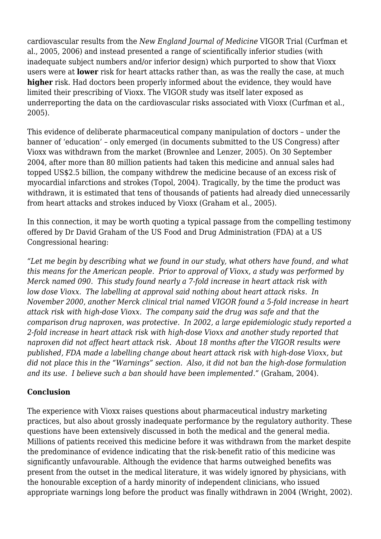cardiovascular results from the *New England Journal of Medicine* VIGOR Trial (Curfman et al., 2005, 2006) and instead presented a range of scientifically inferior studies (with inadequate subject numbers and/or inferior design) which purported to show that Vioxx users were at **lower** risk for heart attacks rather than, as was the really the case, at much **higher** risk. Had doctors been properly informed about the evidence, they would have limited their prescribing of Vioxx. The VIGOR study was itself later exposed as underreporting the data on the cardiovascular risks associated with Vioxx (Curfman et al., 2005).

This evidence of deliberate pharmaceutical company manipulation of doctors – under the banner of 'education' – only emerged (in documents submitted to the US Congress) after Vioxx was withdrawn from the market (Brownlee and Lenzer, 2005). On 30 September 2004, after more than 80 million patients had taken this medicine and annual sales had topped US\$2.5 billion, the company withdrew the medicine because of an excess risk of myocardial infarctions and strokes (Topol, 2004). Tragically, by the time the product was withdrawn, it is estimated that tens of thousands of patients had already died unnecessarily from heart attacks and strokes induced by Vioxx (Graham et al., 2005).

In this connection, it may be worth quoting a typical passage from the compelling testimony offered by Dr David Graham of the US Food and Drug Administration (FDA) at a US Congressional hearing:

*"Let me begin by describing what we found in our study, what others have found, and what this means for the American people. Prior to approval of Vioxx, a study was performed by Merck named 090. This study found nearly a 7-fold increase in heart attack risk with low dose Vioxx. The labelling at approval said nothing about heart attack risks. In November 2000, another Merck clinical trial named VIGOR found a 5-fold increase in heart attack risk with high-dose Vioxx. The company said the drug was safe and that the comparison drug naproxen, was protective. In 2002, a large epidemiologic study reported a 2-fold increase in heart attack risk with high-dose Vioxx and another study reported that naproxen did not affect heart attack risk. About 18 months after the VIGOR results were published, FDA made a labelling change about heart attack risk with high-dose Vioxx, but did not place this in the "Warnings" section. Also, it did not ban the high-dose formulation and its use. I believe such a ban should have been implemented."* (Graham, 2004).

## **Conclusion**

The experience with Vioxx raises questions about pharmaceutical industry marketing practices, but also about grossly inadequate performance by the regulatory authority. These questions have been extensively discussed in both the medical and the general media. Millions of patients received this medicine before it was withdrawn from the market despite the predominance of evidence indicating that the risk-benefit ratio of this medicine was significantly unfavourable. Although the evidence that harms outweighed benefits was present from the outset in the medical literature, it was widely ignored by physicians, with the honourable exception of a hardy minority of independent clinicians, who issued appropriate warnings long before the product was finally withdrawn in 2004 (Wright, 2002).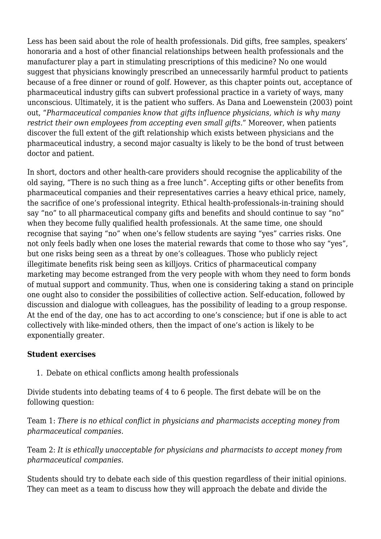Less has been said about the role of health professionals. Did gifts, free samples, speakers' honoraria and a host of other financial relationships between health professionals and the manufacturer play a part in stimulating prescriptions of this medicine? No one would suggest that physicians knowingly prescribed an unnecessarily harmful product to patients because of a free dinner or round of golf. However, as this chapter points out, acceptance of pharmaceutical industry gifts can subvert professional practice in a variety of ways, many unconscious. Ultimately, it is the patient who suffers. As Dana and Loewenstein (2003) point out, "*Pharmaceutical companies know that gifts influence physicians, which is why many restrict their own employees from accepting even small gifts*." Moreover, when patients discover the full extent of the gift relationship which exists between physicians and the pharmaceutical industry, a second major casualty is likely to be the bond of trust between doctor and patient.

In short, doctors and other health-care providers should recognise the applicability of the old saying, "There is no such thing as a free lunch". Accepting gifts or other benefits from pharmaceutical companies and their representatives carries a heavy ethical price, namely, the sacrifice of one's professional integrity. Ethical health-professionals-in-training should say "no" to all pharmaceutical company gifts and benefits and should continue to say "no" when they become fully qualified health professionals. At the same time, one should recognise that saying "no" when one's fellow students are saying "yes" carries risks. One not only feels badly when one loses the material rewards that come to those who say "yes", but one risks being seen as a threat by one's colleagues. Those who publicly reject illegitimate benefits risk being seen as killjoys. Critics of pharmaceutical company marketing may become estranged from the very people with whom they need to form bonds of mutual support and community. Thus, when one is considering taking a stand on principle one ought also to consider the possibilities of collective action. Self-education, followed by discussion and dialogue with colleagues, has the possibility of leading to a group response. At the end of the day, one has to act according to one's conscience; but if one is able to act collectively with like-minded others, then the impact of one's action is likely to be exponentially greater.

#### **Student exercises**

1. Debate on ethical conflicts among health professionals

Divide students into debating teams of 4 to 6 people. The first debate will be on the following question:

Team 1: *There is no ethical conflict in physicians and pharmacists accepting money from pharmaceutical companies.*

Team 2: *It is ethically unacceptable for physicians and pharmacists to accept money from pharmaceutical companies.*

Students should try to debate each side of this question regardless of their initial opinions. They can meet as a team to discuss how they will approach the debate and divide the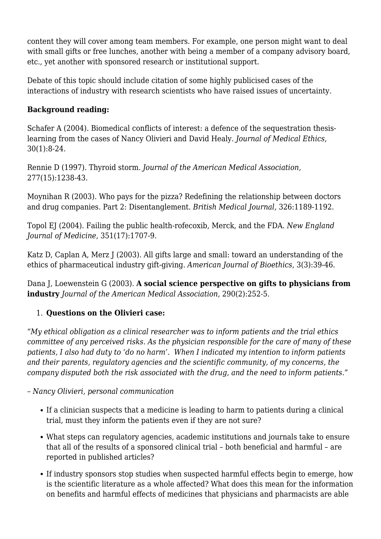content they will cover among team members. For example, one person might want to deal with small gifts or free lunches, another with being a member of a company advisory board, etc., yet another with sponsored research or institutional support.

Debate of this topic should include citation of some highly publicised cases of the interactions of industry with research scientists who have raised issues of uncertainty.

## **Background reading:**

Schafer A (2004). Biomedical conflicts of interest: a defence of the sequestration thesislearning from the cases of Nancy Olivieri and David Healy. *Journal of Medical Ethics,* 30(1):8-24.

Rennie D (1997). Thyroid storm. *Journal of the American Medical Association,* 277(15):1238-43.

Moynihan R (2003). Who pays for the pizza? Redefining the relationship between doctors and drug companies. Part 2: Disentanglement. *British Medical Journal,* 326:1189-1192.

Topol EJ (2004). Failing the public health-rofecoxib, Merck, and the FDA. *New England Journal of Medicine*, 351(17):1707-9.

Katz D, Caplan A, Merz J (2003). All gifts large and small: toward an understanding of the ethics of pharmaceutical industry gift-giving. *American Journal of Bioethics*, 3(3):39-46.

Dana J, Loewenstein G (2003). **A social science perspective on gifts to physicians from industry** *Journal of the American Medical Association*, 290(2):252-5.

## 1. **Questions on the Olivieri case:**

*"My ethical obligation as a clinical researcher was to inform patients and the trial ethics committee of any perceived risks. As the physician responsible for the care of many of these patients, I also had duty to 'do no harm'. When I indicated my intention to inform patients and their parents, regulatory agencies and the scientific community, of my concerns, the company disputed both the risk associated with the drug, and the need to inform patients."*

*– Nancy Olivieri, personal communication*

- If a clinician suspects that a medicine is leading to harm to patients during a clinical trial, must they inform the patients even if they are not sure?
- What steps can regulatory agencies, academic institutions and journals take to ensure that all of the results of a sponsored clinical trial – both beneficial and harmful – are reported in published articles?
- If industry sponsors stop studies when suspected harmful effects begin to emerge, how is the scientific literature as a whole affected? What does this mean for the information on benefits and harmful effects of medicines that physicians and pharmacists are able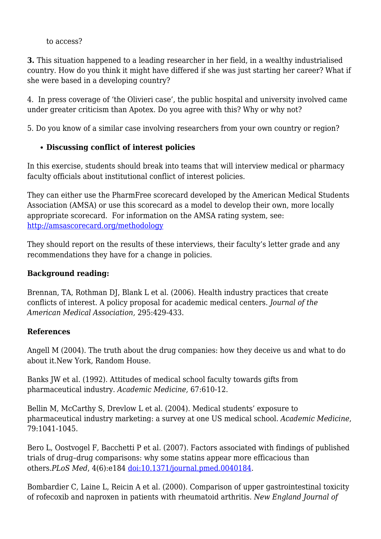#### to access?

**3.** This situation happened to a leading researcher in her field, in a wealthy industrialised country. How do you think it might have differed if she was just starting her career? What if she were based in a developing country?

4. In press coverage of 'the Olivieri case', the public hospital and university involved came under greater criticism than Apotex. Do you agree with this? Why or why not?

5. Do you know of a similar case involving researchers from your own country or region?

#### **Discussing conflict of interest policies**

In this exercise, students should break into teams that will interview medical or pharmacy faculty officials about institutional conflict of interest policies.

They can either use the PharmFree scorecard developed by the American Medical Students Association (AMSA) or use this scorecard as a model to develop their own, more locally appropriate scorecard. For information on the AMSA rating system, see: <http://amsascorecard.org/methodology>

They should report on the results of these interviews, their faculty's letter grade and any recommendations they have for a change in policies.

#### **Background reading:**

Brennan, TA, Rothman DJ, Blank L et al. (2006). Health industry practices that create conflicts of interest. A policy proposal for academic medical centers. *Journal of the American Medical Association,* 295:429-433.

#### **References**

Angell M (2004). The truth about the drug companies: how they deceive us and what to do about it.New York*,* Random House.

Banks JW et al*.* (1992). Attitudes of medical school faculty towards gifts from pharmaceutical industry. *Academic Medicine,* 67:610-12.

Bellin M, McCarthy S, Drevlow L et al. (2004). Medical students' exposure to pharmaceutical industry marketing: a survey at one US medical school. *Academic Medicine*, 79:1041-1045.

Bero L, Oostvogel F, Bacchetti P et al. (2007). Factors associated with findings of published trials of drug–drug comparisons: why some statins appear more efficacious than others.*PLoS Med*, 4(6):e184 [doi:10.1371/journal.pmed.0040184.](http://dx.doi.org/10.1371/journal.pmed.0040184)

Bombardier C, Laine L, Reicin A et al. (2000). Comparison of upper gastrointestinal toxicity of rofecoxib and naproxen in patients with rheumatoid arthritis. *New England Journal of*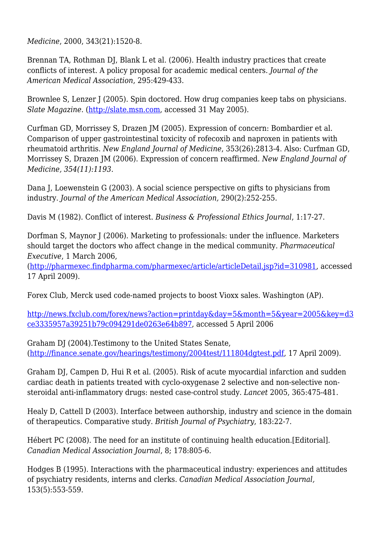*Medicine*, 2000, 343(21):1520-8.

Brennan TA, Rothman DJ, Blank L et al. (2006). Health industry practices that create conflicts of interest. A policy proposal for academic medical centers. *Journal of the American Medical Association*, 295:429-433.

Brownlee S, Lenzer J (2005). Spin doctored. How drug companies keep tabs on physicians. *Slate Magazine*. [\(http://slate.msn.com](http://slate.msn.com), accessed 31 May 2005).

Curfman GD, Morrissey S, Drazen JM (2005). Expression of concern: Bombardier et al. Comparison of upper gastrointestinal toxicity of rofecoxib and naproxen in patients with rheumatoid arthritis. *New England Journal of Medicine*, 353(26):2813-4. Also: Curfman GD, Morrissey S, Drazen JM (2006). Expression of concern reaffirmed*. New England Journal of Medicine, 354(11):1193.*

Dana J, Loewenstein G (2003). A social science perspective on gifts to physicians from industry. *Journal of the American Medical Association,* 290(2):252-255.

Davis M (1982). Conflict of interest. *Business & Professional Ethics Journal*, 1:17-27.

Dorfman S, Maynor J (2006). Marketing to professionals: under the influence. Marketers should target the doctors who affect change in the medical community. *Pharmaceutical Executive*, 1 March 2006,

(<http://pharmexec.findpharma.com/pharmexec/article/articleDetail.jsp?id=310981>, accessed 17 April 2009).

Forex Club, Merck used code-named projects to boost Vioxx sales. Washington (AP).

[http://news.fxclub.com/forex/news?action=printday&day=5&month=5&year=2005&key=d3](http://news.fxclub.com/forex/news?action=printday&day=5&month=5&year=2005&key=d3ce3335957a39251b79c094291de0263e64b897) [ce3335957a39251b79c094291de0263e64b897,](http://news.fxclub.com/forex/news?action=printday&day=5&month=5&year=2005&key=d3ce3335957a39251b79c094291de0263e64b897) accessed 5 April 2006

Graham DJ (2004).Testimony to the United States Senate, ([http://finance.senate.gov/hearings/testimony/2004test/111804dgtest.pdf,](http://finance.senate.gov/hearings/testimony/2004test/111804dgtest.pdf) 17 April 2009).

Graham DJ, Campen D, Hui R et al. (2005). Risk of acute myocardial infarction and sudden cardiac death in patients treated with cyclo-oxygenase 2 selective and non-selective nonsteroidal anti-inflammatory drugs: nested case-control study. *Lancet* 2005, 365:475-481.

Healy D, Cattell D (2003). Interface between authorship, industry and science in the domain of therapeutics. Comparative study. *British Journal of Psychiatry*, 183:22-7.

Hébert PC (2008). The need for an institute of continuing health education.[Editorial]. *Canadian Medical Association Journal*, 8; 178:805-6.

Hodges B (1995). Interactions with the pharmaceutical industry: experiences and attitudes of psychiatry residents, interns and clerks. *Canadian Medical Association Journal,* 153(5):553-559.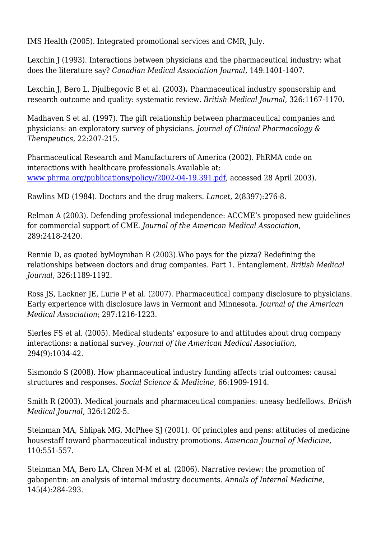IMS Health (2005). Integrated promotional services and CMR, July.

Lexchin J (1993). Interactions between physicians and the pharmaceutical industry: what does the literature say? *Canadian Medical Association Journal*, 149:1401-1407.

Lexchin J, Bero L, Djulbegovic B et al. (2003)**.** Pharmaceutical industry sponsorship and research outcome and quality: systematic review*. British Medical Journal*, 326:1167-1170**.**

Madhaven S et al. (1997). The gift relationship between pharmaceutical companies and physicians: an exploratory survey of physicians. *Journal of Clinical Pharmacology & Therapeutics,* 22:207-215.

Pharmaceutical Research and Manufacturers of America (2002). PhRMA code on interactions with healthcare professionals.Available at: [www.phrma.org/publications/policy//2002-04-19.391.pdf,](http://www.phrma.org/publications/policy/2002-04-19.391.pdf) accessed 28 April 2003).

Rawlins MD (1984). Doctors and the drug makers. *Lancet*, 2(8397):276-8.

Relman A (2003). Defending professional independence: ACCME's proposed new guidelines for commercial support of CME. *Journal of the American Medical Association*, 289:2418-2420.

Rennie D, as quoted byMoynihan R (2003).Who pays for the pizza? Redefining the relationships between doctors and drug companies. Part 1. Entanglement. *British Medical Journal*, 326:1189-1192.

Ross JS, Lackner JE, Lurie P et al. (2007). Pharmaceutical company disclosure to physicians. Early experience with disclosure laws in Vermont and Minnesota. *Journal of the American Medical Association*; 297:1216-1223.

Sierles FS et al*.* (2005). Medical students' exposure to and attitudes about drug company interactions: a national survey. *Journal of the American Medical Association*, 294(9):1034-42.

Sismondo S (2008). How pharmaceutical industry funding affects trial outcomes: causal structures and responses. *Social Science & Medicine*, 66:1909-1914.

Smith R (2003). Medical journals and pharmaceutical companies: uneasy bedfellows. *British Medical Journal*, 326:1202-5.

Steinman MA, Shlipak MG, McPhee SJ (2001). Of principles and pens: attitudes of medicine housestaff toward pharmaceutical industry promotions. *American Journal of Medicine,* 110:551-557.

Steinman MA, Bero LA, Chren M-M et al. (2006). Narrative review: the promotion of gabapentin: an analysis of internal industry documents. *Annals of Internal Medicine,* 145(4):284-293.